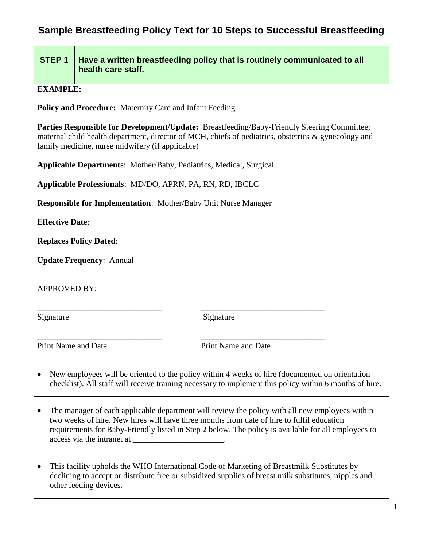# **Sample Breastfeeding Policy Text for 10 Steps to Successful Breastfeeding**

# **STEP 1 Have a written breastfeeding policy that is routinely communicated to all health care staff.**

**EXAMPLE:**

**Policy and Procedure:** Maternity Care and Infant Feeding

**Parties Responsible for Development/Update:** Breastfeeding/Baby-Friendly Steering Committee; maternal child health department, director of MCH, chiefs of pediatrics, obstetrics & gynecology and family medicine, nurse midwifery (if applicable)

**Applicable Departments**: Mother/Baby, Pediatrics, Medical, Surgical

**Applicable Professionals**: MD/DO, APRN, PA, RN, RD, IBCLC

**Responsible for Implementation**: Mother/Baby Unit Nurse Manager

**Effective Date**:

**Replaces Policy Dated**:

**Update Frequency**: Annual

APPROVED BY:

Signature Signature Signature

\_\_\_\_\_\_\_\_\_\_\_\_\_\_\_\_\_\_\_\_\_\_\_\_\_\_\_\_\_\_ \_\_\_\_\_\_\_\_\_\_\_\_\_\_\_\_\_\_\_\_\_\_\_\_\_\_\_\_\_\_

\_\_\_\_\_\_\_\_\_\_\_\_\_\_\_\_\_\_\_\_\_\_\_\_\_\_\_\_\_\_ \_\_\_\_\_\_\_\_\_\_\_\_\_\_\_\_\_\_\_\_\_\_\_\_\_\_\_\_\_\_

Print Name and Date Print Name and Date

- New employees will be oriented to the policy within 4 weeks of hire (documented on orientation checklist). All staff will receive training necessary to implement this policy within 6 months of hire.
- The manager of each applicable department will review the policy with all new employees within two weeks of hire. New hires will have three months from date of hire to fulfil education requirements for Baby-Friendly listed in Step 2 below. The policy is available for all employees to access via the intranet at \_\_\_\_\_\_\_\_\_\_\_\_\_\_\_\_\_\_\_\_\_\_.
- This facility upholds the WHO International Code of Marketing of Breastmilk Substitutes by declining to accept or distribute free or subsidized supplies of breast milk substitutes, nipples and other feeding devices.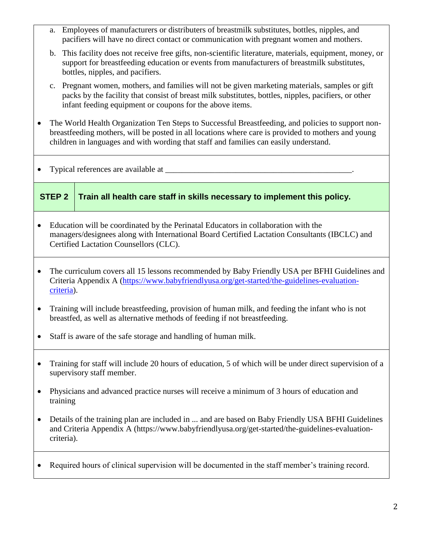- a. Employees of manufacturers or distributers of breastmilk substitutes, bottles, nipples, and pacifiers will have no direct contact or communication with pregnant women and mothers.
- b. This facility does not receive free gifts, non-scientific literature, materials, equipment, money, or support for breastfeeding education or events from manufacturers of breastmilk substitutes, bottles, nipples, and pacifiers.
- c. Pregnant women, mothers, and families will not be given marketing materials, samples or gift packs by the facility that consist of breast milk substitutes, bottles, nipples, pacifiers, or other infant feeding equipment or coupons for the above items.
- The World Health Organization Ten Steps to Successful Breastfeeding, and policies to support nonbreastfeeding mothers, will be posted in all locations where care is provided to mothers and young children in languages and with wording that staff and families can easily understand.
- Typical references are available at \_\_\_\_\_\_\_\_\_\_\_\_\_\_\_\_\_\_\_\_\_\_\_\_\_\_\_\_\_\_\_\_\_\_\_\_\_\_\_\_\_\_\_\_\_.

### **STEP 2 Train all health care staff in skills necessary to implement this policy.**

- Education will be coordinated by the Perinatal Educators in collaboration with the managers/designees along with International Board Certified Lactation Consultants (IBCLC) and Certified Lactation Counsellors (CLC).
- The curriculum covers all 15 lessons recommended by Baby Friendly USA per BFHI Guidelines and Criteria Appendix A [\(https://www.babyfriendlyusa.org/get-started/the-guidelines-evaluation](https://www.babyfriendlyusa.org/get-started/the-guidelines-evaluation-criteria)[criteria\)](https://www.babyfriendlyusa.org/get-started/the-guidelines-evaluation-criteria).
- Training will include breastfeeding, provision of human milk, and feeding the infant who is not breastfed, as well as alternative methods of feeding if not breastfeeding.
- Staff is aware of the safe storage and handling of human milk.
- Training for staff will include 20 hours of education, 5 of which will be under direct supervision of a supervisory staff member.
- Physicians and advanced practice nurses will receive a minimum of 3 hours of education and training
- Details of the training plan are included in ... and are based on Baby Friendly USA BFHI Guidelines and Criteria Appendix A [\(https://www.babyfriendlyusa.org/get-started/the-guidelines-evaluation](https://www.babyfriendlyusa.org/get-started/the-guidelines-evaluation-criteria)[criteria\)](https://www.babyfriendlyusa.org/get-started/the-guidelines-evaluation-criteria).
- Required hours of clinical supervision will be documented in the staff member's training record.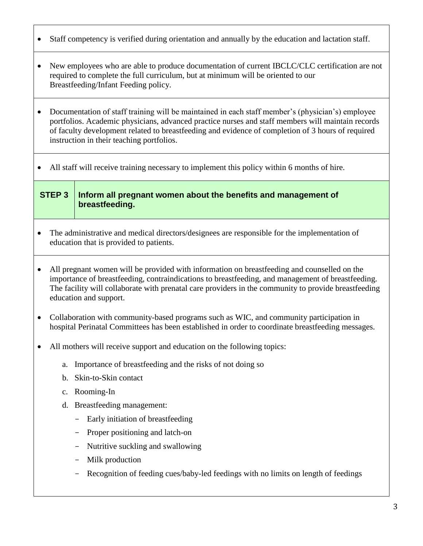- Staff competency is verified during orientation and annually by the education and lactation staff.
- New employees who are able to produce documentation of current IBCLC/CLC certification are not required to complete the full curriculum, but at minimum will be oriented to our Breastfeeding/Infant Feeding policy.
- Documentation of staff training will be maintained in each staff member's (physician's) employee portfolios. Academic physicians, advanced practice nurses and staff members will maintain records of faculty development related to breastfeeding and evidence of completion of 3 hours of required instruction in their teaching portfolios.
- All staff will receive training necessary to implement this policy within 6 months of hire.

### **STEP 3 Inform all pregnant women about the benefits and management of breastfeeding.**

- The administrative and medical directors/designees are responsible for the implementation of education that is provided to patients.
- All pregnant women will be provided with information on breastfeeding and counselled on the importance of breastfeeding, contraindications to breastfeeding, and management of breastfeeding. The facility will collaborate with prenatal care providers in the community to provide breastfeeding education and support.
- Collaboration with community-based programs such as WIC, and community participation in hospital Perinatal Committees has been established in order to coordinate breastfeeding messages.
- All mothers will receive support and education on the following topics:
	- a. Importance of breastfeeding and the risks of not doing so
	- b. Skin-to-Skin contact
	- c. Rooming-In
	- d. Breastfeeding management:
		- Early initiation of breastfeeding
		- Proper positioning and latch-on
		- Nutritive suckling and swallowing
		- Milk production
		- Recognition of feeding cues/baby-led feedings with no limits on length of feedings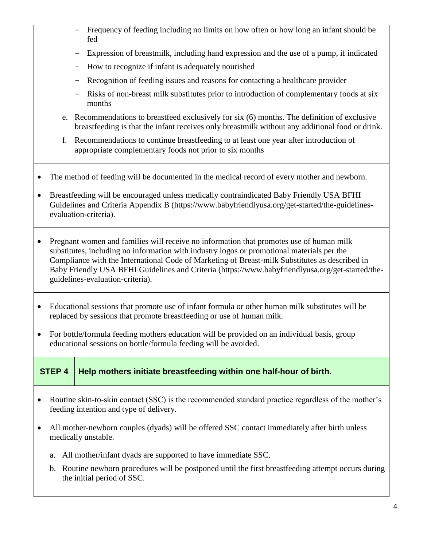- Frequency of feeding including no limits on how often or how long an infant should be fed
- Expression of breastmilk, including hand expression and the use of a pump, if indicated
- How to recognize if infant is adequately nourished
- Recognition of feeding issues and reasons for contacting a healthcare provider
- Risks of non-breast milk substitutes prior to introduction of complementary foods at six months
- e. Recommendations to breastfeed exclusively for six (6) months. The definition of exclusive breastfeeding is that the infant receives only breastmilk without any additional food or drink.
- f. Recommendations to continue breastfeeding to at least one year after introduction of appropriate complementary foods not prior to six months
- The method of feeding will be documented in the medical record of every mother and newborn.
- Breastfeeding will be encouraged unless medically contraindicated Baby Friendly USA BFHI Guidelines and Criteria Appendix B [\(https://www.babyfriendlyusa.org/get-started/the-guidelines](https://www.babyfriendlyusa.org/get-started/the-guidelines-evaluation-criteria)[evaluation-criteria\)](https://www.babyfriendlyusa.org/get-started/the-guidelines-evaluation-criteria).
- Pregnant women and families will receive no information that promotes use of human milk substitutes, including no information with industry logos or promotional materials per the Compliance with the International Code of Marketing of Breast-milk Substitutes as described in Baby Friendly USA BFHI Guidelines and Criteria [\(https://www.babyfriendlyusa.org/get-started/the](https://www.babyfriendlyusa.org/get-started/the-guidelines-evaluation-criteria)[guidelines-evaluation-criteria\)](https://www.babyfriendlyusa.org/get-started/the-guidelines-evaluation-criteria).
- Educational sessions that promote use of infant formula or other human milk substitutes will be replaced by sessions that promote breastfeeding or use of human milk.
- For bottle/formula feeding mothers education will be provided on an individual basis, group educational sessions on bottle/formula feeding will be avoided.

**STEP 4 Help mothers initiate breastfeeding within one half-hour of birth.**

- Routine skin-to-skin contact (SSC) is the recommended standard practice regardless of the mother's feeding intention and type of delivery.
- All mother-newborn couples (dyads) will be offered SSC contact immediately after birth unless medically unstable.
	- a. All mother/infant dyads are supported to have immediate SSC.
	- b. Routine newborn procedures will be postponed until the first breastfeeding attempt occurs during the initial period of SSC.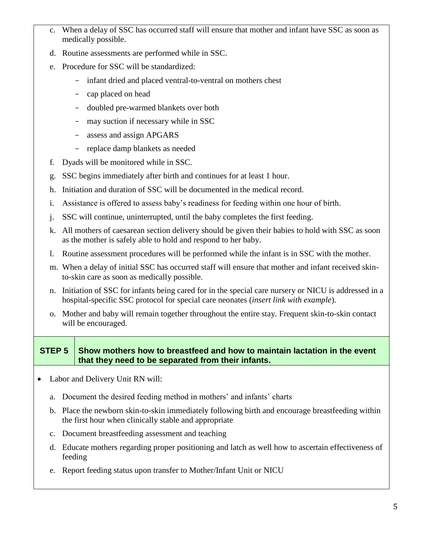- c. When a delay of SSC has occurred staff will ensure that mother and infant have SSC as soon as medically possible.
- d. Routine assessments are performed while in SSC.
- e. Procedure for SSC will be standardized:
	- infant dried and placed ventral-to-ventral on mothers chest
	- cap placed on head
	- doubled pre-warmed blankets over both
	- may suction if necessary while in SSC
	- assess and assign APGARS
	- replace damp blankets as needed
- f. Dyads will be monitored while in SSC.
- g. SSC begins immediately after birth and continues for at least 1 hour.
- h. Initiation and duration of SSC will be documented in the medical record.
- i. Assistance is offered to assess baby's readiness for feeding within one hour of birth.
- j. SSC will continue, uninterrupted, until the baby completes the first feeding.
- k. All mothers of caesarean section delivery should be given their babies to hold with SSC as soon as the mother is safely able to hold and respond to her baby.
- l. Routine assessment procedures will be performed while the infant is in SSC with the mother.
- m. When a delay of initial SSC has occurred staff will ensure that mother and infant received skinto-skin care as soon as medically possible.
- n. Initiation of SSC for infants being cared for in the special care nursery or NICU is addressed in a hospital-specific SSC protocol for special care neonates (*insert link with example*).
- o. Mother and baby will remain together throughout the entire stay. Frequent skin-to-skin contact will be encouraged.

#### **STEP 5 Show mothers how to breastfeed and how to maintain lactation in the event that they need to be separated from their infants.**

- Labor and Delivery Unit RN will:
	- a. Document the desired feeding method in mothers' and infants' charts
	- b. Place the newborn skin-to-skin immediately following birth and encourage breastfeeding within the first hour when clinically stable and appropriate
	- c. Document breastfeeding assessment and teaching
	- d. Educate mothers regarding proper positioning and latch as well how to ascertain effectiveness of feeding
	- e. Report feeding status upon transfer to Mother/Infant Unit or NICU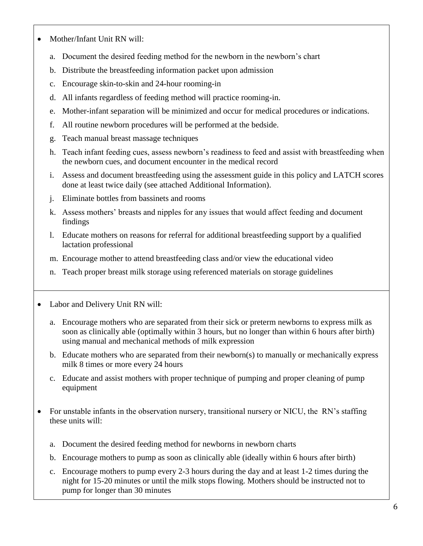- Mother/Infant Unit RN will:
	- a. Document the desired feeding method for the newborn in the newborn's chart
	- b. Distribute the breastfeeding information packet upon admission
	- c. Encourage skin-to-skin and 24-hour rooming-in
	- d. All infants regardless of feeding method will practice rooming-in.
	- e. Mother-infant separation will be minimized and occur for medical procedures or indications.
	- f. All routine newborn procedures will be performed at the bedside.
	- g. Teach manual breast massage techniques
	- h. Teach infant feeding cues, assess newborn's readiness to feed and assist with breastfeeding when the newborn cues, and document encounter in the medical record
	- i. Assess and document breastfeeding using the assessment guide in this policy and LATCH scores done at least twice daily (see attached Additional Information).
	- j. Eliminate bottles from bassinets and rooms
	- k. Assess mothers' breasts and nipples for any issues that would affect feeding and document findings
	- l. Educate mothers on reasons for referral for additional breastfeeding support by a qualified lactation professional
	- m. Encourage mother to attend breastfeeding class and/or view the educational video
	- n. Teach proper breast milk storage using referenced materials on storage guidelines
- Labor and Delivery Unit RN will:
	- a. Encourage mothers who are separated from their sick or preterm newborns to express milk as soon as clinically able (optimally within 3 hours, but no longer than within 6 hours after birth) using manual and mechanical methods of milk expression
	- b. Educate mothers who are separated from their newborn(s) to manually or mechanically express milk 8 times or more every 24 hours
	- c. Educate and assist mothers with proper technique of pumping and proper cleaning of pump equipment
- For unstable infants in the observation nursery, transitional nursery or NICU, the RN's staffing these units will:
	- a. Document the desired feeding method for newborns in newborn charts
	- b. Encourage mothers to pump as soon as clinically able (ideally within 6 hours after birth)
	- c. Encourage mothers to pump every 2-3 hours during the day and at least 1-2 times during the night for 15-20 minutes or until the milk stops flowing. Mothers should be instructed not to pump for longer than 30 minutes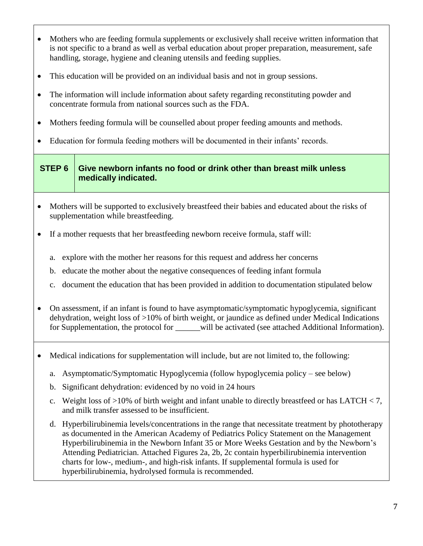- Mothers who are feeding formula supplements or exclusively shall receive written information that is not specific to a brand as well as verbal education about proper preparation, measurement, safe handling, storage, hygiene and cleaning utensils and feeding supplies.
- This education will be provided on an individual basis and not in group sessions.
- The information will include information about safety regarding reconstituting powder and concentrate formula from national sources such as the FDA.
- Mothers feeding formula will be counselled about proper feeding amounts and methods.
- Education for formula feeding mothers will be documented in their infants' records.

## **STEP 6 Give newborn infants no food or drink other than breast milk unless medically indicated.**

- Mothers will be supported to exclusively breastfeed their babies and educated about the risks of supplementation while breastfeeding.
- If a mother requests that her breastfeeding newborn receive formula, staff will:
	- a. explore with the mother her reasons for this request and address her concerns
	- b. educate the mother about the negative consequences of feeding infant formula
	- c. document the education that has been provided in addition to documentation stipulated below
- On assessment, if an infant is found to have asymptomatic/symptomatic hypoglycemia, significant dehydration, weight loss of >10% of birth weight, or jaundice as defined under Medical Indications for Supplementation, the protocol for will be activated (see attached Additional Information).
- Medical indications for supplementation will include, but are not limited to, the following:
	- a. Asymptomatic/Symptomatic Hypoglycemia (follow hypoglycemia policy see below)
	- b. Significant dehydration: evidenced by no void in 24 hours
	- c. Weight loss of >10% of birth weight and infant unable to directly breastfeed or has LATCH < 7, and milk transfer assessed to be insufficient.
	- d. Hyperbilirubinemia levels/concentrations in the range that necessitate treatment by phototherapy as documented in the American Academy of Pediatrics Policy Statement on the Management Hyperbilirubinemia in the Newborn Infant 35 or More Weeks Gestation and by the Newborn's Attending Pediatrician. Attached Figures 2a, 2b, 2c contain hyperbilirubinemia intervention charts for low-, medium-, and high-risk infants. If supplemental formula is used for hyperbilirubinemia, hydrolysed formula is recommended.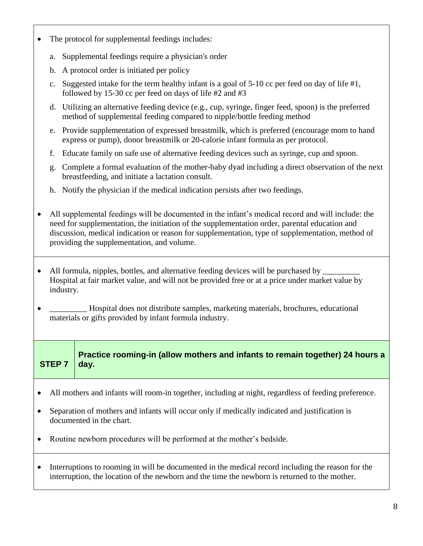- The protocol for supplemental feedings includes:
	- a. Supplemental feedings require a physician's order
	- b. A protocol order is initiated per policy
	- c. Suggested intake for the term healthy infant is a goal of  $5-10$  cc per feed on day of life  $\#1$ , followed by 15-30 cc per feed on days of life #2 and #3
	- d. Utilizing an alternative feeding device (e.g., cup, syringe, finger feed, spoon) is the preferred method of supplemental feeding compared to nipple/bottle feeding method
	- e. Provide supplementation of expressed breastmilk, which is preferred (encourage mom to hand express or pump), donor breastmilk or 20-calorie infant formula as per protocol.
	- f. Educate family on safe use of alternative feeding devices such as syringe, cup and spoon.
	- g. Complete a formal evaluation of the mother-baby dyad including a direct observation of the next breastfeeding, and initiate a lactation consult.
	- h. Notify the physician if the medical indication persists after two feedings.
- All supplemental feedings will be documented in the infant's medical record and will include: the need for supplementation, the initiation of the supplementation order, parental education and discussion, medical indication or reason for supplementation, type of supplementation, method of providing the supplementation, and volume.
- All formula, nipples, bottles, and alternative feeding devices will be purchased by Hospital at fair market value, and will not be provided free or at a price under market value by industry.
- Hospital does not distribute samples, marketing materials, brochures, educational materials or gifts provided by infant formula industry.

**STEP 7**

**Practice rooming-in (allow mothers and infants to remain together) 24 hours a day.**

- All mothers and infants will room-in together, including at night, regardless of feeding preference.
- Separation of mothers and infants will occur only if medically indicated and justification is documented in the chart.
- Routine newborn procedures will be performed at the mother's bedside.
- Interruptions to rooming in will be documented in the medical record including the reason for the interruption, the location of the newborn and the time the newborn is returned to the mother.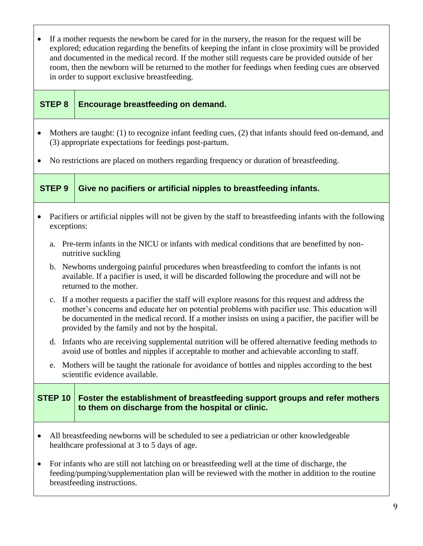- If a mother requests the newborn be cared for in the nursery, the reason for the request will be explored; education regarding the benefits of keeping the infant in close proximity will be provided and documented in the medical record. If the mother still requests care be provided outside of her room, then the newborn will be returned to the mother for feedings when feeding cues are observed in order to support exclusive breastfeeding.
- 

#### **STEP 8 Encourage breastfeeding on demand.**

- Mothers are taught: (1) to recognize infant feeding cues, (2) that infants should feed on-demand, and (3) appropriate expectations for feedings post-partum.
- No restrictions are placed on mothers regarding frequency or duration of breastfeeding.

**STEP 9 Give no pacifiers or artificial nipples to breastfeeding infants.**

- Pacifiers or artificial nipples will not be given by the staff to breastfeeding infants with the following exceptions:
	- a. Pre-term infants in the NICU or infants with medical conditions that are benefitted by nonnutritive suckling
	- b. Newborns undergoing painful procedures when breastfeeding to comfort the infants is not available. If a pacifier is used, it will be discarded following the procedure and will not be returned to the mother.
	- c. If a mother requests a pacifier the staff will explore reasons for this request and address the mother's concerns and educate her on potential problems with pacifier use. This education will be documented in the medical record. If a mother insists on using a pacifier, the pacifier will be provided by the family and not by the hospital.
	- d. Infants who are receiving supplemental nutrition will be offered alternative feeding methods to avoid use of bottles and nipples if acceptable to mother and achievable according to staff.
	- e. Mothers will be taught the rationale for avoidance of bottles and nipples according to the best scientific evidence available.

## **STEP 10 Foster the establishment of breastfeeding support groups and refer mothers to them on discharge from the hospital or clinic.**

- All breastfeeding newborns will be scheduled to see a pediatrician or other knowledgeable healthcare professional at 3 to 5 days of age.
- For infants who are still not latching on or breastfeeding well at the time of discharge, the feeding/pumping/supplementation plan will be reviewed with the mother in addition to the routine breastfeeding instructions.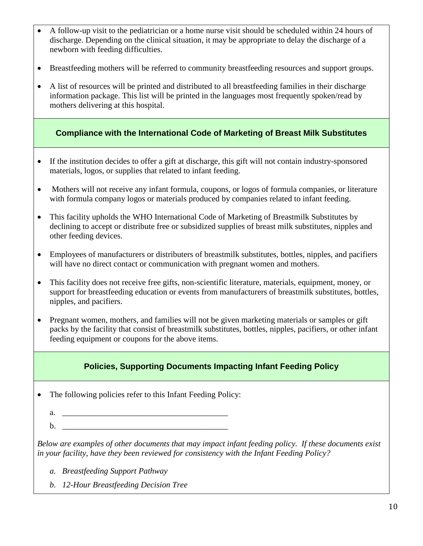- A follow-up visit to the pediatrician or a home nurse visit should be scheduled within 24 hours of discharge. Depending on the clinical situation, it may be appropriate to delay the discharge of a newborn with feeding difficulties.
- Breastfeeding mothers will be referred to community breastfeeding resources and support groups.
- A list of resources will be printed and distributed to all breastfeeding families in their discharge information package. This list will be printed in the languages most frequently spoken/read by mothers delivering at this hospital.

**Compliance with the International Code of Marketing of Breast Milk Substitutes**

- If the institution decides to offer a gift at discharge, this gift will not contain industry-sponsored materials, logos, or supplies that related to infant feeding.
- Mothers will not receive any infant formula, coupons, or logos of formula companies, or literature with formula company logos or materials produced by companies related to infant feeding.
- This facility upholds the WHO International Code of Marketing of Breastmilk Substitutes by declining to accept or distribute free or subsidized supplies of breast milk substitutes, nipples and other feeding devices.
- Employees of manufacturers or distributers of breastmilk substitutes, bottles, nipples, and pacifiers will have no direct contact or communication with pregnant women and mothers.
- This facility does not receive free gifts, non-scientific literature, materials, equipment, money, or support for breastfeeding education or events from manufacturers of breastmilk substitutes, bottles, nipples, and pacifiers.
- Pregnant women, mothers, and families will not be given marketing materials or samples or gift packs by the facility that consist of breastmilk substitutes, bottles, nipples, pacifiers, or other infant feeding equipment or coupons for the above items.

# **Policies, Supporting Documents Impacting Infant Feeding Policy**

- The following policies refer to this Infant Feeding Policy:
	- a. \_\_\_\_\_\_\_\_\_\_\_\_\_\_\_\_\_\_\_\_\_\_\_\_\_\_\_\_\_\_\_\_\_\_\_\_\_\_\_\_
	- $\mathbf{b}$ .

*Below are examples of other documents that may impact infant feeding policy. If these documents exist in your facility, have they been reviewed for consistency with the Infant Feeding Policy?*

- *a. Breastfeeding Support Pathway*
- *b. 12-Hour Breastfeeding Decision Tree*